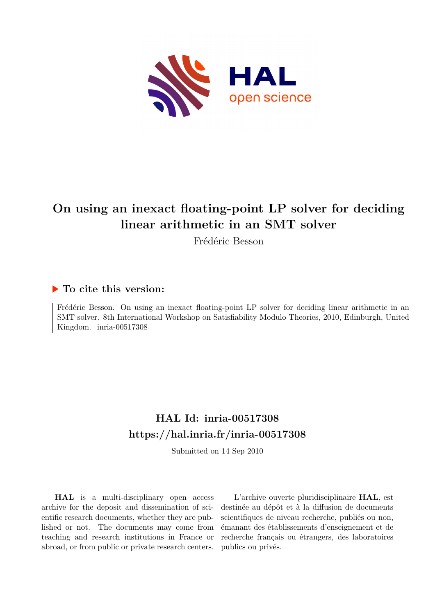

# **On using an inexact floating-point LP solver for deciding linear arithmetic in an SMT solver**

Frédéric Besson

## **To cite this version:**

Frédéric Besson. On using an inexact floating-point LP solver for deciding linear arithmetic in an SMT solver. 8th International Workshop on Satisfiability Modulo Theories, 2010, Edinburgh, United Kingdom. inria-00517308

# **HAL Id: inria-00517308 <https://hal.inria.fr/inria-00517308>**

Submitted on 14 Sep 2010

**HAL** is a multi-disciplinary open access archive for the deposit and dissemination of scientific research documents, whether they are published or not. The documents may come from teaching and research institutions in France or abroad, or from public or private research centers.

L'archive ouverte pluridisciplinaire **HAL**, est destinée au dépôt et à la diffusion de documents scientifiques de niveau recherche, publiés ou non, émanant des établissements d'enseignement et de recherche français ou étrangers, des laboratoires publics ou privés.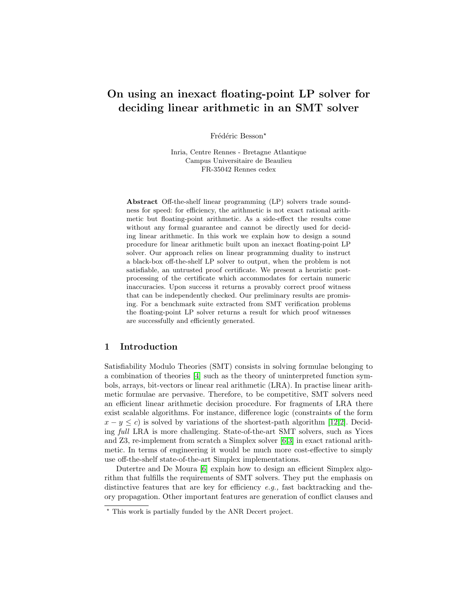## On using an inexact floating-point LP solver for deciding linear arithmetic in an SMT solver

Frédéric Besson<sup>\*</sup>

Inria, Centre Rennes - Bretagne Atlantique Campus Universitaire de Beaulieu FR-35042 Rennes cedex

Abstract Off-the-shelf linear programming (LP) solvers trade soundness for speed: for efficiency, the arithmetic is not exact rational arithmetic but floating-point arithmetic. As a side-effect the results come without any formal guarantee and cannot be directly used for deciding linear arithmetic. In this work we explain how to design a sound procedure for linear arithmetic built upon an inexact floating-point LP solver. Our approach relies on linear programming duality to instruct a black-box off-the-shelf LP solver to output, when the problem is not satisfiable, an untrusted proof certificate. We present a heuristic postprocessing of the certificate which accommodates for certain numeric inaccuracies. Upon success it returns a provably correct proof witness that can be independently checked. Our preliminary results are promising. For a benchmark suite extracted from SMT verification problems the floating-point LP solver returns a result for which proof witnesses are successfully and efficiently generated.

## 1 Introduction

Satisfiability Modulo Theories (SMT) consists in solving formulae belonging to a combination of theories [\[4\]](#page-11-0) such as the theory of uninterpreted function symbols, arrays, bit-vectors or linear real arithmetic (LRA). In practise linear arithmetic formulae are pervasive. Therefore, to be competitive, SMT solvers need an efficient linear arithmetic decision procedure. For fragments of LRA there exist scalable algorithms. For instance, difference logic (constraints of the form  $x - y \leq c$ ) is solved by variations of the shortest-path algorithm [\[12](#page-11-1)[,2\]](#page-11-2). Deciding full LRA is more challenging. State-of-the-art SMT solvers, such as Yices and Z3, re-implement from scratch a Simplex solver [\[6,](#page-11-3)[3\]](#page-11-4) in exact rational arithmetic. In terms of engineering it would be much more cost-effective to simply use off-the-shelf state-of-the-art Simplex implementations.

Dutertre and De Moura [\[6\]](#page-11-3) explain how to design an efficient Simplex algorithm that fulfills the requirements of SMT solvers. They put the emphasis on distinctive features that are key for efficiency  $e, q$ , fast backtracking and theory propagation. Other important features are generation of conflict clauses and

<sup>⋆</sup> This work is partially funded by the ANR Decert project.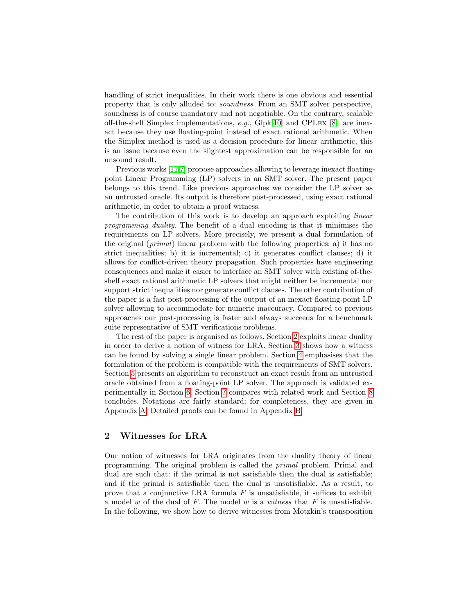handling of strict inequalities. In their work there is one obvious and essential property that is only alluded to: soundness. From an SMT solver perspective, soundness is of course mandatory and not negotiable. On the contrary, scalable off-the-shelf Simplex implementations, e.g., Glpk[\[10\]](#page-11-5) and CPLex [\[8\]](#page-11-6), are inexact because they use floating-point instead of exact rational arithmetic. When the Simplex method is used as a decision procedure for linear arithmetic, this is an issue because even the slightest approximation can be responsible for an unsound result.

Previous works [\[11](#page-11-7)[,7\]](#page-11-8) propose approaches allowing to leverage inexact floatingpoint Linear Programming (LP) solvers in an SMT solver. The present paper belongs to this trend. Like previous approaches we consider the LP solver as an untrusted oracle. Its output is therefore post-processed, using exact rational arithmetic, in order to obtain a proof witness.

The contribution of this work is to develop an approach exploiting *linear* programming duality. The benefit of a dual encoding is that it minimises the requirements on LP solvers. More precisely, we present a dual formulation of the original (primal) linear problem with the following properties: a) it has no strict inequalities; b) it is incremental; c) it generates conflict clauses; d) it allows for conflict-driven theory propagation. Such properties have engineering consequences and make it easier to interface an SMT solver with existing of-theshelf exact rational arithmetic LP solvers that might neither be incremental nor support strict inequalities nor generate conflict clauses. The other contribution of the paper is a fast post-processing of the output of an inexact floating-point LP solver allowing to accommodate for numeric inaccuracy. Compared to previous approaches our post-processing is faster and always succeeds for a benchmark suite representative of SMT verifications problems.

The rest of the paper is organised as follows. Section [2](#page-2-0) exploits linear duality in order to derive a notion of witness for LRA. Section [3](#page-4-0) shows how a witness can be found by solving a single linear problem. Section [4](#page-6-0) emphasises that the formulation of the problem is compatible with the requirements of SMT solvers. Section [5](#page-7-0) presents an algorithm to reconstruct an exact result from an untrusted oracle obtained from a floating-point LP solver. The approach is validated experimentally in Section [6.](#page-8-0) Section [7](#page-10-0) compares with related work and Section [8](#page-11-9) concludes. Notations are fairly standard; for completeness, they are given in Appendix [A.](#page-12-0) Detailed proofs can be found in Appendix [B.](#page-12-1)

## <span id="page-2-0"></span>2 Witnesses for LRA

Our notion of witnesses for LRA originates from the duality theory of linear programming. The original problem is called the primal problem. Primal and dual are such that: if the primal is not satisfiable then the dual is satisfiable; and if the primal is satisfiable then the dual is unsatisfiable. As a result, to prove that a conjunctive LRA formula  $F$  is unsatisfiable, it suffices to exhibit a model  $w$  of the dual of  $F$ . The model  $w$  is a witness that  $F$  is unsatisfiable. In the following, we show how to derive witnesses from Motzkin's transposition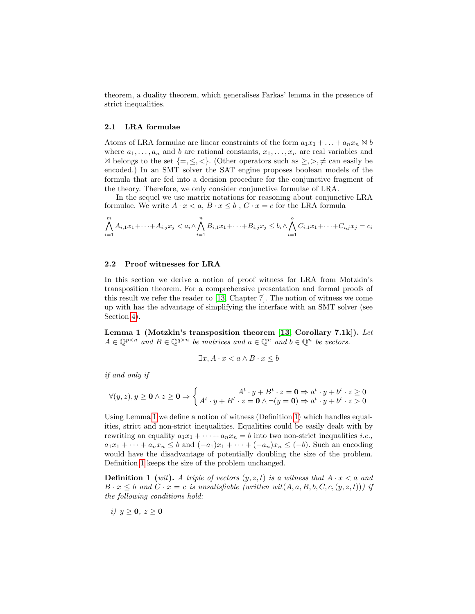theorem, a duality theorem, which generalises Farkas' lemma in the presence of strict inequalities.

#### 2.1 LRA formulae

Atoms of LRA formulae are linear constraints of the form  $a_1x_1 + \ldots + a_nx_n \bowtie b$ where  $a_1, \ldots, a_n$  and b are rational constants,  $x_1, \ldots, x_n$  are real variables and  $\bowtie$  belongs to the set {=, ≤, <}. (Other operators such as ≥, >, ≠ can easily be encoded.) In an SMT solver the SAT engine proposes boolean models of the formula that are fed into a decision procedure for the conjunctive fragment of the theory. Therefore, we only consider conjunctive formulae of LRA.

In the sequel we use matrix notations for reasoning about conjunctive LRA formulae. We write  $A \cdot x \le a, B \cdot x \le b, C \cdot x = c$  for the LRA formula

$$
\bigwedge_{i=1}^{m} A_{i,1}x_1 + \dots + A_{i,j}x_j < a_i \wedge \bigwedge_{i=1}^{n} B_{i,1}x_1 + \dots + B_{i,j}x_j \leq b_i \wedge \bigwedge_{i=1}^{o} C_{i,1}x_1 + \dots + C_{i,j}x_j = c_i
$$

#### 2.2 Proof witnesses for LRA

In this section we derive a notion of proof witness for LRA from Motzkin's transposition theorem. For a comprehensive presentation and formal proofs of this result we refer the reader to [\[13,](#page-11-10) Chapter 7]. The notion of witness we come up with has the advantage of simplifying the interface with an SMT solver (see Section [4\)](#page-6-0).

<span id="page-3-0"></span>Lemma 1 (Motzkin's transposition theorem [\[13,](#page-11-10) Corollary 7.1k]). Let  $A \in \mathbb{Q}^{p \times n}$  and  $B \in \mathbb{Q}^{q \times n}$  be matrices and  $a \in \mathbb{Q}^n$  and  $b \in \mathbb{Q}^n$  be vectors.

<span id="page-3-1"></span>
$$
\exists x, A \cdot x < a \land B \cdot x \le b
$$

if and only if

$$
\forall (y, z), y \ge 0 \land z \ge 0 \Rightarrow \begin{cases} A^t \cdot y + B^t \cdot z = 0 \Rightarrow a^t \cdot y + b^t \cdot z \ge 0 \\ A^t \cdot y + B^t \cdot z = 0 \land \neg(y = 0) \Rightarrow a^t \cdot y + b^t \cdot z > 0 \end{cases}
$$

Using Lemma [1](#page-3-0) we define a notion of witness (Definition [1\)](#page-3-1) which handles equalities, strict and non-strict inequalities. Equalities could be easily dealt with by rewriting an equality  $a_1x_1 + \cdots + a_nx_n = b$  into two non-strict inequalities *i.e.*,  $a_1x_1 + \cdots + a_nx_n \leq b$  and  $(-a_1)x_1 + \cdots + (-a_n)x_n \leq (-b)$ . Such an encoding would have the disadvantage of potentially doubling the size of the problem. Definition [1](#page-3-1) keeps the size of the problem unchanged.

**Definition 1** (wit). A triple of vectors  $(y, z, t)$  is a witness that  $A \cdot x < a$  and  $B \cdot x \leq b$  and  $C \cdot x = c$  is unsatisfiable (written wit(A, a, B, b, C, c,  $(y, z, t)$ )) if the following conditions hold:

<span id="page-3-2"></span>
$$
i) \, y \ge 0, \, z \ge 0
$$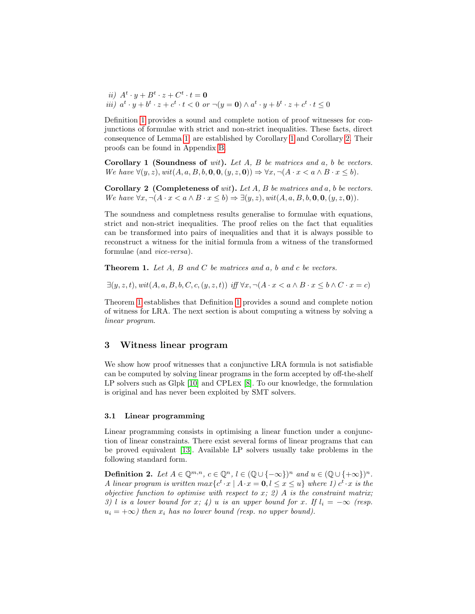<span id="page-4-6"></span><span id="page-4-5"></span>ii)  $A^t \cdot y + B^t \cdot z + C^t \cdot t = \mathbf{0}$ iii)  $a^t \cdot y + b^t \cdot z + c^t \cdot t < 0$  or  $\neg(y = 0) \wedge a^t \cdot y + b^t \cdot z + c^t \cdot t \leq 0$ 

Definition [1](#page-3-1) provides a sound and complete notion of proof witnesses for conjunctions of formulae with strict and non-strict inequalities. These facts, direct consequence of Lemma [1,](#page-3-0) are established by Corollary [1](#page-4-1) and Corollary [2.](#page-4-2) Their proofs can be found in Appendix [B.](#page-12-1)

<span id="page-4-1"></span>**Corollary 1 (Soundness of** wit). Let  $A$ ,  $B$  be matrices and  $a$ ,  $b$  be vectors. We have  $\forall (y, z), wit(A, a, B, b, \mathbf{0}, \mathbf{0}, (y, z, \mathbf{0})) \Rightarrow \forall x, \neg(A \cdot x < a \land B \cdot x \leq b).$ 

<span id="page-4-2"></span>**Corollary 2** (Completeness of wit). Let  $A$ ,  $B$  be matrices and  $a$ ,  $b$  be vectors. We have  $\forall x, \neg(A \cdot x < a \land B \cdot x \leq b) \Rightarrow \exists (y, z), \text{wit}(A, a, B, b, \mathbf{0}, \mathbf{0}, (y, z, \mathbf{0})).$ 

The soundness and completness results generalise to formulae with equations, strict and non-strict inequalities. The proof relies on the fact that equalities can be transformed into pairs of inequalities and that it is always possible to reconstruct a witness for the initial formula from a witness of the transformed formulae (and vice-versa).

<span id="page-4-3"></span>**Theorem 1.** Let  $A$ ,  $B$  and  $C$  be matrices and  $a$ ,  $b$  and  $c$  be vectors.

 $\exists (y, z, t), \text{wit}(A, a, B, b, C, c, (y, z, t)) \text{ iff } \forall x, \neg(A \cdot x \le a \land B \cdot x \le b \land C \cdot x = c)$ 

Theorem [1](#page-4-3) establishes that Definition [1](#page-3-1) provides a sound and complete notion of witness for LRA. The next section is about computing a witness by solving a linear program.

## <span id="page-4-0"></span>3 Witness linear program

We show how proof witnesses that a conjunctive LRA formula is not satisfiable can be computed by solving linear programs in the form accepted by off-the-shelf LP solvers such as Glpk [\[10\]](#page-11-5) and CPLex [\[8\]](#page-11-6). To our knowledge, the formulation is original and has never been exploited by SMT solvers.

#### 3.1 Linear programming

Linear programming consists in optimising a linear function under a conjunction of linear constraints. There exist several forms of linear programs that can be proved equivalent [\[13\]](#page-11-10). Available LP solvers usually take problems in the following standard form.

<span id="page-4-4"></span>**Definition 2.** Let  $A \in \mathbb{Q}^{m,n}$ ,  $c \in \mathbb{Q}^n$ ,  $l \in (\mathbb{Q} \cup \{-\infty\})^n$  and  $u \in (\mathbb{Q} \cup \{+\infty\})^n$ . A linear program is written  $max\{c^t \cdot x \mid A \cdot x = 0, l \leq x \leq u\}$  where 1)  $c^t \cdot x$  is the objective function to optimise with respect to x; 2) A is the constraint matrix; 3) l is a lower bound for x; 4) u is an upper bound for x. If  $l_i = -\infty$  (resp.  $u_i = +\infty$ ) then  $x_i$  has no lower bound (resp. no upper bound).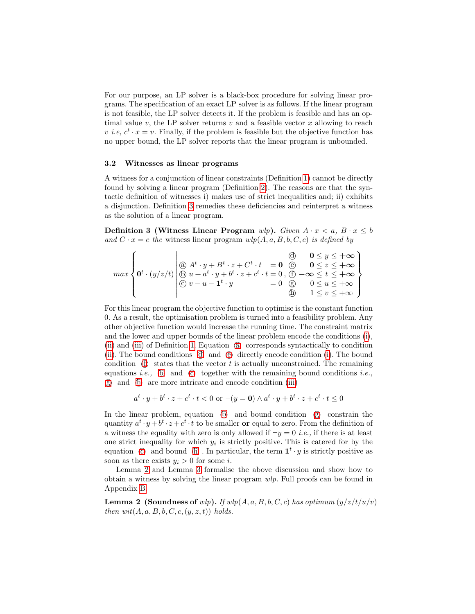For our purpose, an LP solver is a black-box procedure for solving linear programs. The specification of an exact LP solver is as follows. If the linear program is not feasible, the LP solver detects it. If the problem is feasible and has an optimal value v, the LP solver returns v and a feasible vector x allowing to reach v *i.e,*  $c^t \cdot x = v$ . Finally, if the problem is feasible but the objective function has no upper bound, the LP solver reports that the linear program is unbounded.

#### 3.2 Witnesses as linear programs

A witness for a conjunction of linear constraints (Definition [1\)](#page-3-1) cannot be directly found by solving a linear program (Definition [2\)](#page-4-4). The reasons are that the syntactic definition of witnesses i) makes use of strict inequalities and; ii) exhibits a disjunction. Definition [3](#page-5-0) remedies these deficiencies and reinterpret a witness as the solution of a linear program.

<span id="page-5-0"></span>Definition 3 (Witness Linear Program wlp). Given  $A \cdot x < a, B \cdot x \leq b$ and  $C \cdot x = c$  the witness linear program  $wlp(A, a, B, b, C, c)$  is defined by

<span id="page-5-8"></span><span id="page-5-7"></span><span id="page-5-6"></span><span id="page-5-5"></span><span id="page-5-4"></span><span id="page-5-3"></span><span id="page-5-2"></span><span id="page-5-1"></span>
$$
\max\left\{\mathbf{0}^t\cdot(y/z/t)\left|\begin{matrix}0 & A^t\cdot y + B^t\cdot z + C^t\cdot t & = \mathbf{0} & \textcircled{0} & \mathbf{0}\leq y\leq +\infty \\ \textcircled{0} & 0 & \textcircled{z} & z\leq +\infty \\ \textcircled{0} & u + a^t\cdot y + b^t\cdot z + c^t\cdot t & = 0 \\ \textcircled{0} & v - u - \mathbf{1}^t\cdot y & = 0 & \textcircled{0} & 0\leq u\leq +\infty \\ \textcircled{0} & 1 & \textcircled{z} & v\leq +\infty\end{matrix}\right\}
$$

For this linear program the objective function to optimise is the constant function 0. As a result, the optimisation problem is turned into a feasibility problem. Any other objective function would increase the running time. The constraint matrix and the lower and upper bounds of the linear problem encode the conditions [\(i\)](#page-3-2), [\(ii\)](#page-4-5) and [\(iii\)](#page-4-6) of Definition [1.](#page-3-1) Equation a corresponds syntactically to condition [\(ii\)](#page-4-5). The bound conditions  $\phi$  and  $\phi$  directly encode condition (i). The boundcondition  $(f)$  states that the vector t is actually unconstrained. The remainingequations *i.e.*,  $(\mathbb{D})$  and  $(\mathbb{C})$  together with the remaining bound conditions *i.e.*,g and h are more intricate and encode condition [\(iii\)](#page-4-6)

$$
a^t \cdot y + b^t \cdot z + c^t \cdot t < 0 \text{ or } \neg(y = 0) \land a^t \cdot y + b^t \cdot z + c^t \cdot t \le 0
$$

In the linear problem, equation  $\langle b \rangle$  and bound condition  $\langle \hat{g} \rangle$  constrain thequantity  $a^t \cdot y + b^t \cdot z + c^t \cdot t$  to be smaller **or** equal to zero. From the definition of a witness the equality with zero is only allowed if  $\neg y = 0$  *i.e.*, if there is at least one strict inequality for which  $y_i$  is strictly positive. This is catered for by the equation  $\odot$  and bound  $\odot$ . In particular, the term  $1^t \cdot y$  is strictly positive assoon as there exists  $y_i > 0$  for some *i*.

<span id="page-5-9"></span>Lemma [2](#page-5-9) and Lemma [3](#page-6-1) formalise the above discussion and show how to obtain a witness by solving the linear program wlp. Full proofs can be found in Appendix [B.](#page-12-1)

**Lemma 2 (Soundness of** wlp). If  $wlp(A, a, B, b, C, c)$  has optimum  $(y/z/t/u/v)$ then  $wit(A, a, B, b, C, c, (y, z, t))$  holds.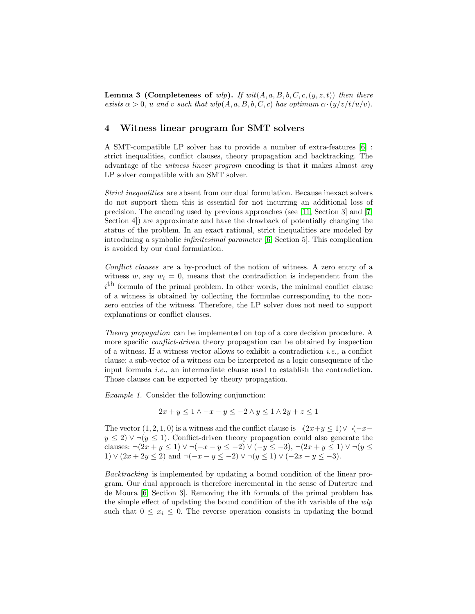<span id="page-6-1"></span>**Lemma 3 (Completeness of** wlp). If  $wit(A, a, B, b, C, c, (y, z, t))$  then there exists  $\alpha > 0$ , u and v such that  $wlp(A, a, B, b, C, c)$  has optimum  $\alpha \cdot (y/z/t/u/v)$ .

## <span id="page-6-0"></span>4 Witness linear program for SMT solvers

A SMT-compatible LP solver has to provide a number of extra-features [\[6\]](#page-11-3) : strict inequalities, conflict clauses, theory propagation and backtracking. The advantage of the witness linear program encoding is that it makes almost any LP solver compatible with an SMT solver.

Strict inequalities are absent from our dual formulation. Because inexact solvers do not support them this is essential for not incurring an additional loss of precision. The encoding used by previous approaches (see [\[11,](#page-11-7) Section 3] and [\[7,](#page-11-8) Section 4]) are approximate and have the drawback of potentially changing the status of the problem. In an exact rational, strict inequalities are modeled by introducing a symbolic infinitesimal parameter [\[6,](#page-11-3) Section 5]. This complication is avoided by our dual formulation.

Conflict clauses are a by-product of the notion of witness. A zero entry of a witness w, say  $w_i = 0$ , means that the contradiction is independent from the  $i<sup>th</sup>$  formula of the primal problem. In other words, the minimal conflict clause of a witness is obtained by collecting the formulae corresponding to the nonzero entries of the witness. Therefore, the LP solver does not need to support explanations or conflict clauses.

Theory propagation can be implemented on top of a core decision procedure. A more specific *conflict-driven* theory propagation can be obtained by inspection of a witness. If a witness vector allows to exhibit a contradiction *i.e.*, a conflict clause; a sub-vector of a witness can be interpreted as a logic consequence of the input formula  $i.e.,$  an intermediate clause used to establish the contradiction. Those clauses can be exported by theory propagation.

Example 1. Consider the following conjunction:

$$
2x + y \leq 1 \land -x - y \leq -2 \land y \leq 1 \land 2y + z \leq 1
$$

The vector  $(1, 2, 1, 0)$  is a witness and the conflict clause is  $\neg (2x+y \leq 1) \vee \neg (-x-\partial \overline{\partial})$  $y \le 2$ )  $\vee \neg (y \le 1)$ . Conflict-driven theory propagation could also generate the clauses:  $\neg (2x + y \le 1) \vee \neg (-x - y \le -2) \vee (-y \le -3), \neg (2x + y \le 1) \vee \neg (y \le$ 1) ∨  $(2x + 2y \le 2)$  and  $\neg(-x - y \le -2)$   $\vee$   $\neg(y \le 1)$   $\vee$   $(-2x - y \le -3)$ .

Backtracking is implemented by updating a bound condition of the linear program. Our dual approach is therefore incremental in the sense of Dutertre and de Moura [\[6,](#page-11-3) Section 3]. Removing the ith formula of the primal problem has the simple effect of updating the bound condition of the ith variable of the wlp such that  $0 \leq x_i \leq 0$ . The reverse operation consists in updating the bound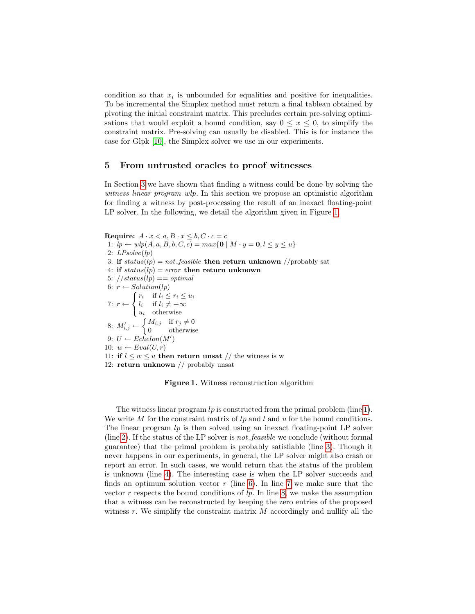condition so that  $x_i$  is unbounded for equalities and positive for inequalities. To be incremental the Simplex method must return a final tableau obtained by pivoting the initial constraint matrix. This precludes certain pre-solving optimisations that would exploit a bound condition, say  $0 \leq x \leq 0$ , to simplify the constraint matrix. Pre-solving can usually be disabled. This is for instance the case for Glpk [\[10\]](#page-11-5), the Simplex solver we use in our experiments.

## <span id="page-7-0"></span>5 From untrusted oracles to proof witnesses

In Section [3](#page-4-0) we have shown that finding a witness could be done by solving the witness linear program wlp. In this section we propose an optimistic algorithm for finding a witness by post-processing the result of an inexact floating-point LP solver. In the following, we detail the algorithm given in Figure [1.](#page-7-1)

<span id="page-7-7"></span><span id="page-7-6"></span><span id="page-7-4"></span><span id="page-7-3"></span><span id="page-7-2"></span>Require:  $A \cdot x < a, B \cdot x < b, C \cdot c = c$ 1:  $lp \leftarrow wh(A, a, B, b, C, c) = max\{0 \mid M \cdot y = 0, l \leq y \leq u\}$ 2:  $LPsolve(h)$ 3: if  $status(lp) = not\_feasible$  then return unknown //probably sat 4: if  $status(lp) = error$  then return unknown 5:  $//status(lp) == optimal$ 6:  $r \leftarrow Solution(lp)$ 7:  $r \leftarrow$  $\sqrt{2}$  $\left\vert \right\vert$  $\mathbf{I}$  $r_i$  if  $l_i \leq r_i \leq u_i$ l<sub>i</sub> if  $l_i \neq -\infty$  $u_i$  otherwise 8:  $M'_{i,j} \leftarrow \begin{cases} M_{i,j} & \text{if } r_j \neq 0 \\ 0 & \text{otherwise} \end{cases}$ 0 otherwise 9:  $U \leftarrow Echelon(M')$ 10:  $w \leftarrow Eval(U, r)$ 11: if  $l \leq w \leq u$  then return unsat // the witness is w 12: return unknown // probably unsat

<span id="page-7-10"></span><span id="page-7-9"></span><span id="page-7-8"></span><span id="page-7-5"></span><span id="page-7-1"></span>Figure 1. Witness reconstruction algorithm

The witness linear program  $lp$  is constructed from the primal problem (line [1\)](#page-7-2). We write  $M$  for the constraint matrix of  $lp$  and  $l$  and  $u$  for the bound conditions. The linear program  $lp$  is then solved using an inexact floating-point LP solver (line [2\)](#page-7-3). If the status of the LP solver is *not\_feasible* we conclude (without formal guarantee) that the primal problem is probably satisfiable (line [3\)](#page-7-4). Though it never happens in our experiments, in general, the LP solver might also crash or report an error. In such cases, we would return that the status of the problem is unknown (line [4\)](#page-7-5). The interesting case is when the LP solver succeeds and finds an optimum solution vector  $r$  (line [6\)](#page-7-6). In line [7](#page-7-7) we make sure that the vector r respects the bound conditions of  $lp$ . In line [8,](#page-7-8) we make the assumption that a witness can be reconstructed by keeping the zero entries of the proposed witness r. We simplify the constraint matrix  $M$  accordingly and nullify all the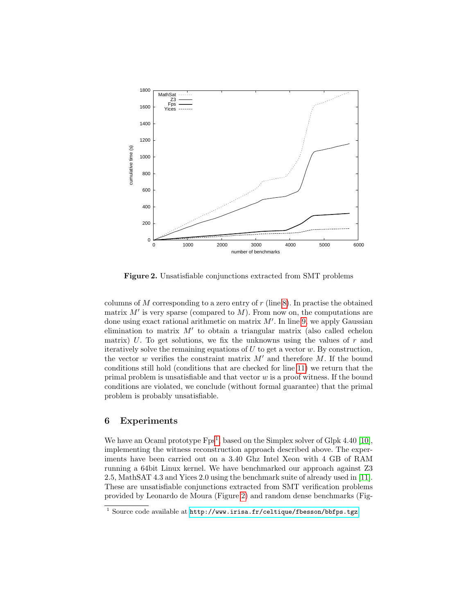

<span id="page-8-2"></span>Figure 2. Unsatisfiable conjunctions extracted from SMT problems

columns of  $M$  corresponding to a zero entry of  $r$  (line [8\)](#page-7-8). In practise the obtained matrix  $M'$  is very sparse (compared to  $M$ ). From now on, the computations are done using exact rational arithmetic on matrix  $M'$ . In line [9,](#page-7-9) we apply Gaussian elimination to matrix  $M'$  to obtain a triangular matrix (also called echelon matrix) U. To get solutions, we fix the unknowns using the values of  $r$  and iteratively solve the remaining equations of  $U$  to get a vector  $w$ . By construction, the vector  $w$  verifies the constraint matrix  $M'$  and therefore  $M$ . If the bound conditions still hold (conditions that are checked for line [11\)](#page-7-10) we return that the primal problem is unsatisfiable and that vector  $w$  is a proof witness. If the bound conditions are violated, we conclude (without formal guarantee) that the primal problem is probably unsatisfiable.

## <span id="page-8-0"></span>6 Experiments

We have an Ocaml prototype  $Fps<sup>1</sup>$  $Fps<sup>1</sup>$  $Fps<sup>1</sup>$ , based on the Simplex solver of Glpk 4.40 [\[10\]](#page-11-5), implementing the witness reconstruction approach described above. The experiments have been carried out on a 3.40 Ghz Intel Xeon with 4 GB of RAM running a 64bit Linux kernel. We have benchmarked our approach against Z3 2.5, MathSAT 4.3 and Yices 2.0 using the benchmark suite of already used in [\[11\]](#page-11-7). These are unsatisfiable conjunctions extracted from SMT verification problems provided by Leonardo de Moura (Figure [2\)](#page-8-2) and random dense benchmarks (Fig-

<span id="page-8-1"></span> $^1$  Source code available at  ${\tt http://www.irisa.fr/celtique/fbesson/bbfps.tgz}$  ${\tt http://www.irisa.fr/celtique/fbesson/bbfps.tgz}$  ${\tt http://www.irisa.fr/celtique/fbesson/bbfps.tgz}$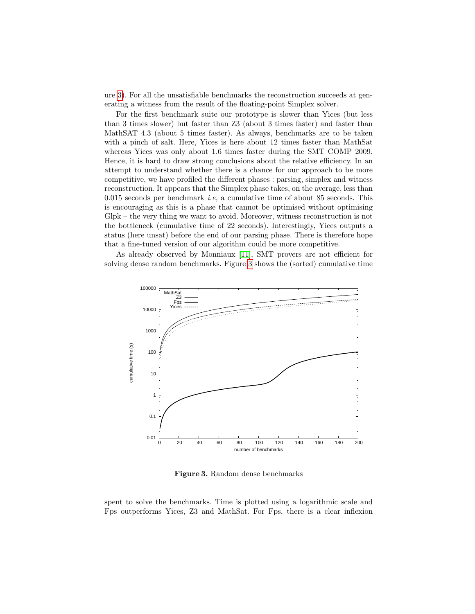ure [3\)](#page-9-0). For all the unsatisfiable benchmarks the reconstruction succeeds at generating a witness from the result of the floating-point Simplex solver.

For the first benchmark suite our prototype is slower than Yices (but less than 3 times slower) but faster than Z3 (about 3 times faster) and faster than MathSAT 4.3 (about 5 times faster). As always, benchmarks are to be taken with a pinch of salt. Here, Yices is here about 12 times faster than MathSat whereas Yices was only about 1.6 times faster during the SMT COMP 2009. Hence, it is hard to draw strong conclusions about the relative efficiency. In an attempt to understand whether there is a chance for our approach to be more competitive, we have profiled the different phases : parsing, simplex and witness reconstruction. It appears that the Simplex phase takes, on the average, less than 0.015 seconds per benchmark *i.e.*, a cumulative time of about 85 seconds. This is encouraging as this is a phase that cannot be optimised without optimising Glpk – the very thing we want to avoid. Moreover, witness reconstruction is not the bottleneck (cumulative time of 22 seconds). Interestingly, Yices outputs a status (here unsat) before the end of our parsing phase. There is therefore hope that a fine-tuned version of our algorithm could be more competitive.

As already observed by Monniaux [\[11\]](#page-11-7), SMT provers are not efficient for solving dense random benchmarks. Figure [3](#page-9-0) shows the (sorted) cumulative time



<span id="page-9-0"></span>Figure 3. Random dense benchmarks

spent to solve the benchmarks. Time is plotted using a logarithmic scale and Fps outperforms Yices, Z3 and MathSat. For Fps, there is a clear inflexion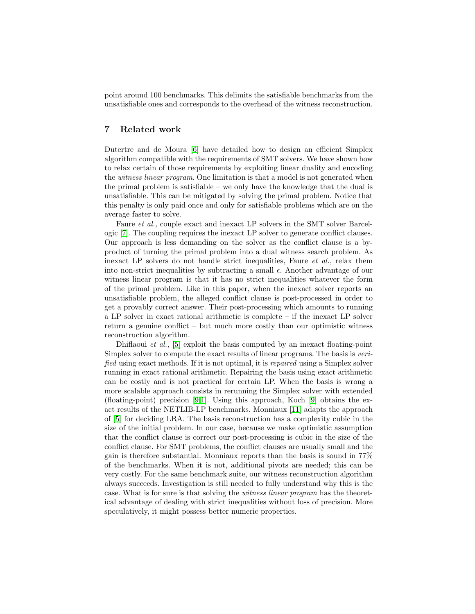point around 100 benchmarks. This delimits the satisfiable benchmarks from the unsatisfiable ones and corresponds to the overhead of the witness reconstruction.

## <span id="page-10-0"></span>7 Related work

Dutertre and de Moura [\[6\]](#page-11-3) have detailed how to design an efficient Simplex algorithm compatible with the requirements of SMT solvers. We have shown how to relax certain of those requirements by exploiting linear duality and encoding the witness linear program. One limitation is that a model is not generated when the primal problem is satisfiable – we only have the knowledge that the dual is unsatisfiable. This can be mitigated by solving the primal problem. Notice that this penalty is only paid once and only for satisfiable problems which are on the average faster to solve.

Faure *et al.*, couple exact and inexact LP solvers in the SMT solver Barcelogic [\[7\]](#page-11-8). The coupling requires the inexact LP solver to generate conflict clauses. Our approach is less demanding on the solver as the conflict clause is a byproduct of turning the primal problem into a dual witness search problem. As inexact LP solvers do not handle strict inequalities, Faure et al., relax them into non-strict inequalities by subtracting a small  $\epsilon$ . Another advantage of our witness linear program is that it has no strict inequalities whatever the form of the primal problem. Like in this paper, when the inexact solver reports an unsatisfiable problem, the alleged conflict clause is post-processed in order to get a provably correct answer. Their post-processing which amounts to running a LP solver in exact rational arithmetic is complete – if the inexact LP solver return a genuine conflict – but much more costly than our optimistic witness reconstruction algorithm.

Dhiflaoui et al., [\[5\]](#page-11-11) exploit the basis computed by an inexact floating-point Simplex solver to compute the exact results of linear programs. The basis is verified using exact methods. If it is not optimal, it is repaired using a Simplex solver running in exact rational arithmetic. Repairing the basis using exact arithmetic can be costly and is not practical for certain LP. When the basis is wrong a more scalable approach consists in rerunning the Simplex solver with extended (floating-point) precision [\[9](#page-11-12)[,1\]](#page-11-13). Using this approach, Koch [\[9\]](#page-11-12) obtains the exact results of the NETLIB-LP benchmarks. Monniaux [\[11\]](#page-11-7) adapts the approach of [\[5\]](#page-11-11) for deciding LRA. The basis reconstruction has a complexity cubic in the size of the initial problem. In our case, because we make optimistic assumption that the conflict clause is correct our post-processing is cubic in the size of the conflict clause. For SMT problems, the conflict clauses are usually small and the gain is therefore substantial. Monniaux reports than the basis is sound in 77% of the benchmarks. When it is not, additional pivots are needed; this can be very costly. For the same benchmark suite, our witness reconstruction algorithm always succeeds. Investigation is still needed to fully understand why this is the case. What is for sure is that solving the witness linear program has the theoretical advantage of dealing with strict inequalities without loss of precision. More speculatively, it might possess better numeric properties.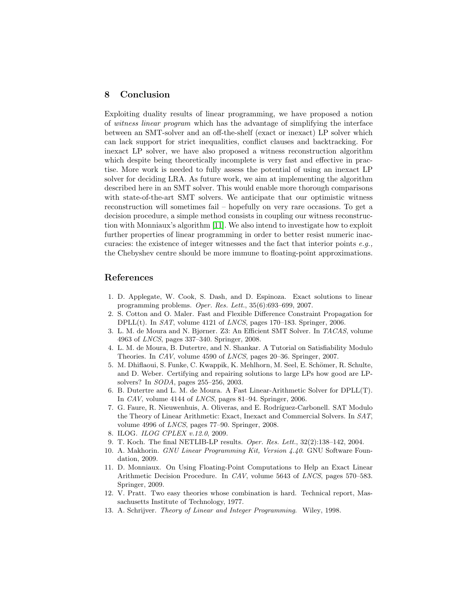### <span id="page-11-9"></span>8 Conclusion

Exploiting duality results of linear programming, we have proposed a notion of witness linear program which has the advantage of simplifying the interface between an SMT-solver and an off-the-shelf (exact or inexact) LP solver which can lack support for strict inequalities, conflict clauses and backtracking. For inexact LP solver, we have also proposed a witness reconstruction algorithm which despite being theoretically incomplete is very fast and effective in practise. More work is needed to fully assess the potential of using an inexact LP solver for deciding LRA. As future work, we aim at implementing the algorithm described here in an SMT solver. This would enable more thorough comparisons with state-of-the-art SMT solvers. We anticipate that our optimistic witness reconstruction will sometimes fail – hopefully on very rare occasions. To get a decision procedure, a simple method consists in coupling our witness reconstruction with Monniaux's algorithm [\[11\]](#page-11-7). We also intend to investigate how to exploit further properties of linear programming in order to better resist numeric inaccuracies: the existence of integer witnesses and the fact that interior points  $e.g.,$ the Chebyshev centre should be more immune to floating-point approximations.

## References

- <span id="page-11-13"></span>1. D. Applegate, W. Cook, S. Dash, and D. Espinoza. Exact solutions to linear programming problems. Oper. Res. Lett., 35(6):693–699, 2007.
- <span id="page-11-2"></span>2. S. Cotton and O. Maler. Fast and Flexible Difference Constraint Propagation for DPLL $(t)$ . In *SAT*, volume 4121 of *LNCS*, pages 170–183. Springer, 2006.
- <span id="page-11-4"></span>3. L. M. de Moura and N. Bjørner. Z3: An Efficient SMT Solver. In TACAS, volume 4963 of LNCS, pages 337–340. Springer, 2008.
- <span id="page-11-0"></span>4. L. M. de Moura, B. Dutertre, and N. Shankar. A Tutorial on Satisfiability Modulo Theories. In CAV, volume 4590 of LNCS, pages 20–36. Springer, 2007.
- <span id="page-11-11"></span>5. M. Dhiflaoui, S. Funke, C. Kwappik, K. Mehlhorn, M. Seel, E. Schömer, R. Schulte, and D. Weber. Certifying and repairing solutions to large LPs how good are LPsolvers? In SODA, pages 255–256, 2003.
- <span id="page-11-3"></span>6. B. Dutertre and L. M. de Moura. A Fast Linear-Arithmetic Solver for DPLL(T). In CAV, volume 4144 of LNCS, pages 81–94. Springer, 2006.
- <span id="page-11-8"></span>7. G. Faure, R. Nieuwenhuis, A. Oliveras, and E. Rodríguez-Carbonell. SAT Modulo the Theory of Linear Arithmetic: Exact, Inexact and Commercial Solvers. In SAT, volume 4996 of LNCS, pages 77–90. Springer, 2008.
- <span id="page-11-6"></span>8. ILOG. ILOG CPLEX v.12.0, 2009.
- <span id="page-11-12"></span>9. T. Koch. The final NETLIB-LP results. Oper. Res. Lett., 32(2):138–142, 2004.
- <span id="page-11-5"></span>10. A. Makhorin. GNU Linear Programming Kit, Version 4.40. GNU Software Foundation, 2009.
- <span id="page-11-7"></span>11. D. Monniaux. On Using Floating-Point Computations to Help an Exact Linear Arithmetic Decision Procedure. In CAV, volume 5643 of LNCS, pages 570–583. Springer, 2009.
- <span id="page-11-1"></span>12. V. Pratt. Two easy theories whose combination is hard. Technical report, Massachusetts Institute of Technology, 1977.
- <span id="page-11-10"></span>13. A. Schrijver. Theory of Linear and Integer Programming. Wiley, 1998.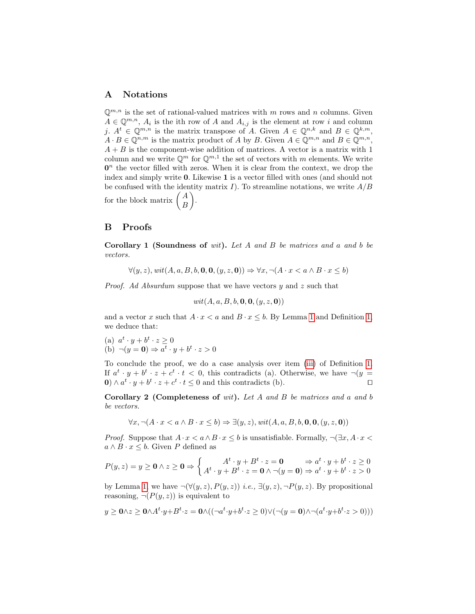## <span id="page-12-0"></span>A Notations

 $\mathbb{Q}^{m,n}$  is the set of rational-valued matrices with m rows and n columns. Given  $A \in \mathbb{Q}^{m,n}$ ,  $A_i$  is the ith row of A and  $A_{i,j}$  is the element at row i and column j.  $A^t \in \mathbb{Q}^{m,n}$  is the matrix transpose of A. Given  $A \in \mathbb{Q}^{n,k}$  and  $B \in \mathbb{Q}^{k,m}$ ,  $A \cdot B \in \mathbb{Q}^{n,m}$  is the matrix product of A by B. Given  $A \in \mathbb{Q}^{m,n}$  and  $B \in \mathbb{Q}^{m,n}$ ,  $A + B$  is the component-wise addition of matrices. A vector is a matrix with 1 column and we write  $\mathbb{Q}^m$  for  $\mathbb{Q}^{m,1}$  the set of vectors with m elements. We write  $\mathbf{0}^n$  the vector filled with zeros. When it is clear from the context, we drop the index and simply write 0. Likewise 1 is a vector filled with ones (and should not be confused with the identity matrix I). To streamline notations, we write  $A/B$ for the block matrix  $\begin{pmatrix} A \\ D \end{pmatrix}$ B .

#### <span id="page-12-1"></span>B Proofs

Corollary 1 (Soundness of wit). Let A and B be matrices and a and b be vectors.

 $\forall (y, z), \text{wit}(A, a, B, b, \mathbf{0}, \mathbf{0}, (y, z, \mathbf{0})) \Rightarrow \forall x, \neg(A \cdot x < a \land B \cdot x \leq b)$ 

Proof. Ad Absurdum suppose that we have vectors y and z such that

$$
wit(A,a,B,b,{\bf 0},{\bf 0},(y,z,{\bf 0}))
$$

and a vector x such that  $A \cdot x < a$  and  $B \cdot x \leq b$ . By Lemma [1](#page-3-0) and Definition [1,](#page-3-1) we deduce that:

(a)  $a^t \cdot y + b^t \cdot z \ge 0$ (b)  $\neg(y = 0) \Rightarrow a^t \cdot y + b^t \cdot z > 0$ 

To conclude the proof, we do a case analysis over item [\(iii\)](#page-4-6) of Definition [1.](#page-3-1) If  $a^t \cdot y + b^t \cdot z + c^t \cdot t < 0$ , this contradicts (a). Otherwise, we have  $\neg(y =$  $\mathbf{0} \wedge a^t \cdot y + b^t \cdot z + c^t \cdot t \leq 0$  and this contradicts (b). □

Corollary 2 (Completeness of wit). Let A and B be matrices and a and b be vectors.

$$
\forall x, \neg (A \cdot x < a \land B \cdot x \le b) \Rightarrow \exists (y, z), \text{wit}(A, a, B, b, \mathbf{0}, \mathbf{0}, (y, z, \mathbf{0}))
$$

*Proof.* Suppose that  $A \cdot x < a \wedge B \cdot x \leq b$  is unsatisfiable. Formally,  $\neg(\exists x, A \cdot x < b)$  $a \wedge B \cdot x \leq b$ . Given P defined as

$$
P(y,z) = y \ge 0 \land z \ge 0 \Rightarrow \begin{cases} A^t \cdot y + B^t \cdot z = 0 & \Rightarrow a^t \cdot y + b^t \cdot z \ge 0 \\ A^t \cdot y + B^t \cdot z = 0 \land \neg(y = 0) \Rightarrow a^t \cdot y + b^t \cdot z > 0 \end{cases}
$$

by Lemma [1,](#page-3-0) we have  $\neg(\forall(y, z), P(y, z))$  *i.e.*,  $\exists(y, z), \neg P(y, z)$ . By propositional reasoning,  $\neg (P(y, z))$  is equivalent to

$$
y\geq \mathbf{0}\wedge z\geq \mathbf{0}\wedge A^t\cdot y+B^t\cdot z=\mathbf{0}\wedge ((\neg a^t\cdot y+b^t\cdot z\geq 0)\vee (\neg (y=\mathbf{0})\wedge \neg (a^t\cdot y+b^t\cdot z>0)))
$$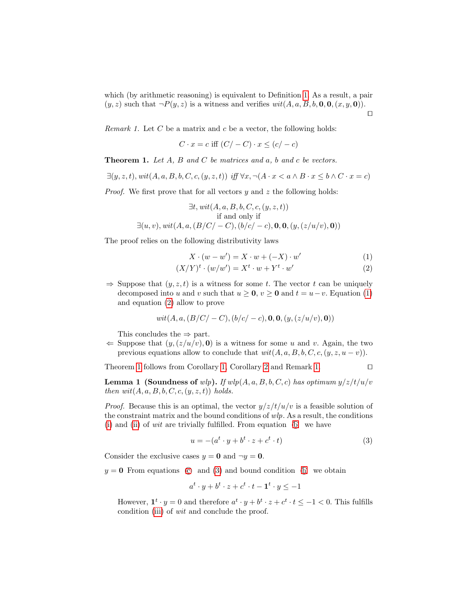which (by arithmetic reasoning) is equivalent to Definition [1.](#page-3-1) As a result, a pair  $(y, z)$  such that  $\neg P(y, z)$  is a witness and verifies  $wit(A, a, B, b, 0, 0, (x, y, 0)).$ ⊓⊔

<span id="page-13-2"></span>Remark 1. Let  $C$  be a matrix and  $c$  be a vector, the following holds:

$$
C \cdot x = c \text{ iff } (C/-C) \cdot x \le (c/-c)
$$

<span id="page-13-1"></span>**Theorem 1.** Let  $A$ ,  $B$  and  $C$  be matrices and  $a$ ,  $b$  and  $c$  be vectors.

$$
\exists (y, z, t), \text{ with } (A, a, B, b, C, c, (y, z, t)) \text{ iff } \forall x, \neg(A \cdot x < a \land B \cdot x \leq b \land C \cdot x = c)
$$

*Proof.* We first prove that for all vectors  $y$  and  $z$  the following holds:

$$
\exists t, \text{wit}(A, a, B, b, C, c, (y, z, t))
$$
\nif and only if\n
$$
\exists (u, v), \text{wit}(A, a, (B/C/-C), (b/c/-c), \mathbf{0}, \mathbf{0}, (y, (z/u/v), \mathbf{0}))
$$

The proof relies on the following distributivity laws

<span id="page-13-0"></span>
$$
X \cdot (w - w') = X \cdot w + (-X) \cdot w'
$$
 (1)

$$
(X/Y)^t \cdot (w/w') = X^t \cdot w + Y^t \cdot w'
$$
 (2)

 $\Rightarrow$  Suppose that  $(y, z, t)$  is a witness for some t. The vector t can be uniquely decomposed into u and v such that  $u \ge 0$ ,  $v \ge 0$  and  $t = u - v$ . Equation [\(1\)](#page-13-0) and equation [\(2\)](#page-13-0) allow to prove

$$
wit(A, a, (B/C/-C), (b/c/-c), \mathbf{0}, \mathbf{0}, (y, (z/u/v), \mathbf{0}))
$$

This concludes the  $\Rightarrow$  part.

 $\Leftarrow$  Suppose that  $(y,(z/u/v), 0)$  is a witness for some u and v. Again, the two previous equations allow to conclude that  $wit(A, a, B, b, C, c, (y, z, u - v)).$ 

Theorem [1](#page-13-1) follows from Corollary [1,](#page-4-1) Corollary [2](#page-4-2) and Remark [1.](#page-13-2) □

**Lemma 1 (Soundness of** wlp). If  $wlp(A, a, B, b, C, c)$  has optimum  $y/z/t/u/v$ then  $wit(A, a, B, b, C, c, (y, z, t))$  holds.

*Proof.* Because this is an optimal, the vector  $y/z/t/u/v$  is a feasible solution of the constraint matrix and the bound conditions of  $wlp$ . As a result, the conditions [\(i\)](#page-3-2) and [\(ii\)](#page-4-5) of *wit* are trivially fulfilled. From equation  $(\mathbf{b})$  we have

<span id="page-13-3"></span>
$$
u = -(a^t \cdot y + b^t \cdot z + c^t \cdot t) \tag{3}
$$

Consider the exclusive cases  $y = 0$  and  $\neg y = 0$ .

 $y = 0$  From equations (c) and (3) and bound condition (h) we obtain

$$
a^t \cdot y + b^t \cdot z + c^t \cdot t - \mathbf{1}^t \cdot y \le -1
$$

However,  $\mathbf{1}^t \cdot y = 0$  and therefore  $a^t \cdot y + b^t \cdot z + c^t \cdot t \le -1 < 0$ . This fulfills condition [\(iii\)](#page-4-6) of wit and conclude the proof.